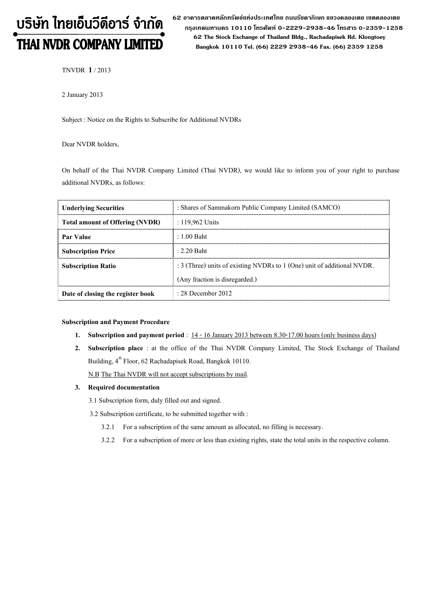# บริษัท ไทยเอ็นวีดีอาร์ จำกัด THAI NVDR COMPANY LIMITED

62 อาดารตลาดหลักทรัพย์แห่งประเทศไทย ถนนรัซดาภิเษก แขวงดลองเตย เขตดลองเตย กรุงเทพมหานดร 10110 โทรศัพท์ 0-2229-2938-46 โทรสาร 0-2359-1258 62 The Stock Exchange of Thailand Bldg., Rachadapisek Rd. Klongtoey Bangkok 10110 Tel. (66) 2229 2938-46 Fax. (66) 2359 1258

TNVDR 1/ 2013

2 January 2013

Subject : Notice on the Rights to Subscribe for Additional NVDRs

Dear NVDR holders,

On behalf of the Thai NVDR Company Limited (Thai NVDR), we would like to inform you of your right to purchase additional NVDRs, as follows:

| <b>Underlying Securities</b>           | : Shares of Sammakorn Public Company Limited (SAMCO)                    |
|----------------------------------------|-------------------------------------------------------------------------|
| <b>Total amount of Offering (NVDR)</b> | : 119,962 Units                                                         |
| <b>Par Value</b>                       | $: 1.00$ Baht                                                           |
| <b>Subscription Price</b>              | $\pm 2.20$ Baht                                                         |
| <b>Subscription Ratio</b>              | : 3 (Three) units of existing NVDRs to 1 (One) unit of additional NVDR. |
|                                        | (Any fraction is disregarded.)                                          |
| Date of closing the register book      | $\cdot$ 28 December 2012                                                |

#### Subscription and Payment Procedure

- 1. Subscription and payment period :  $14 16$  January 2013 between 8.30-17.00 hours (only business days)
- 2. Subscription place : at the office of the Thai NVDR Company Limited, The Stock Exchange of Thailand Building, 4<sup>th</sup> Floor, 62 Rachadapisek Road, Bangkok 10110.

N.B The Thai NVDR will not accept subscriptions by mail.

#### 3. Required documentation

3.1 Subscription form, duly filled out and signed.

3.2 Subscription certificate, to be submitted together with :

- 3.2.1 For a subscription of the same amount as allocated, no filling is necessary.
- 3.2.2 For a subscription of more or less than existing rights, state the total units in the respective column.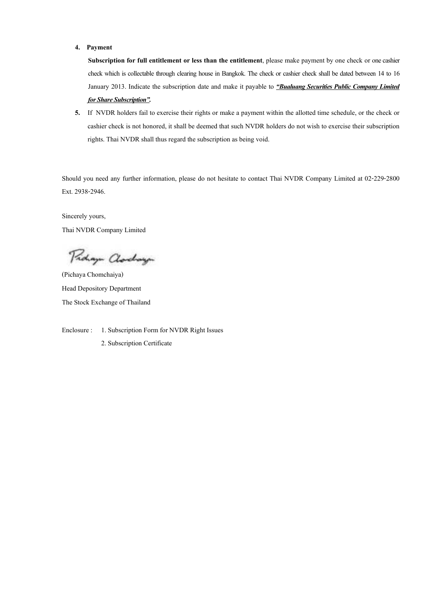### 4. Payment

Subscription for full entitlement or less than the entitlement, please make payment by one check or one cashier check which is collectable through clearing house in Bangkok. The check or cashier check shall be dated between 14 to 16 January 2013. Indicate the subscription date and make it payable to *"Bualuang Securities Public Company Limited* for Share Subscription".

5. If NVDR holders fail to exercise their rights or make a payment within the allotted time schedule, or the check or cashier check is not honored, it shall be deemed that such NVDR holders do not wish to exercise their subscription rights. Thai NVDR shall thus regard the subscription as being void.

Should you need any further information, please do not hesitate to contact Thai NVDR Company Limited at 02-229-2800 Ext. 2938-2946.

Sincerely yours, Thai NVDR Company Limited

Proham Clochay

(Pichaya Chomchaiya) Head Depository Department The Stock Exchange of Thailand

Enclosure : 1. Subscription Form for NVDR Right Issues 2. Subscription Certificate